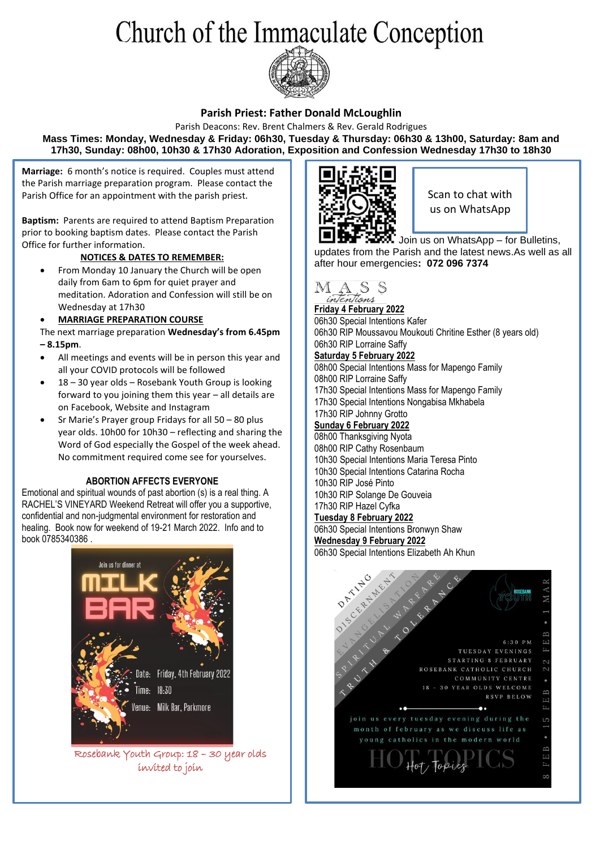# Church of the Immaculate Conception



### **Parish Priest: Father Donald McLoughlin**

Parish Deacons: Rev. Brent Chalmers & Rev. Gerald Rodrigues **Mass Times: Monday, Wednesday & Friday: 06h30, Tuesday & Thursday: 06h30 & 13h00, Saturday: 8am and 17h30, Sunday: 08h00, 10h30 & 17h30 Adoration, Exposition and Confession Wednesday 17h30 to 18h30**

**Marriage:** 6 month's notice is required. Couples must attend the Parish marriage preparation program. Please contact the Parish Office for an appointment with the parish priest.

**Baptism:** Parents are required to attend Baptism Preparation prior to booking baptism dates. Please contact the Parish Office for further information.

### **NOTICES & DATES TO REMEMBER:**

• From Monday 10 January the Church will be open daily from 6am to 6pm for quiet prayer and meditation. Adoration and Confession will still be on Wednesday at 17h30

### • **MARRIAGE PREPARATION COURSE**

- The next marriage preparation **Wednesday's from 6.45pm – 8.15pm**.
- All meetings and events will be in person this year and all your COVID protocols will be followed
- 18 30 year olds Rosebank Youth Group is looking forward to you joining them this year – all details are on Facebook, Website and Instagram
- Sr Marie's Prayer group Fridays for all 50 80 plus year olds. 10h00 for 10h30 – reflecting and sharing the Word of God especially the Gospel of the week ahead. No commitment required come see for yourselves.

#### **ABORTION AFFECTS EVERYONE**

Emotional and spiritual wounds of past abortion (s) is a real thing. A RACHEL'S VINEYARD Weekend Retreat will offer you a supportive, confidential and non-judgmental environment for restoration and healing. Book now for weekend of 19-21 March 2022. Info and to book 0785340386 .



Rosebank Youth Group: 18 – 30 year olds invited to join



Scan to chat with us on WhatsApp

Join us on WhatsApp – for Bulletins, updates from the Parish and the latest news.As well as all after hour emergencies**: 072 096 7374**



**Friday 4 February 2022** 06h30 Special Intentions Kafer 06h30 RIP Moussavou Moukouti Chritine Esther (8 years old) 06h30 RIP Lorraine Saffy **Saturday 5 February 2022** 08h00 Special Intentions Mass for Mapengo Family 08h00 RIP Lorraine Saffy 17h30 Special Intentions Mass for Mapengo Family 17h30 Special Intentions Nongabisa Mkhabela 17h30 RIP Johnny Grotto **Sunday 6 February 2022** 08h00 Thanksgiving Nyota 08h00 RIP Cathy Rosenbaum 10h30 Special Intentions Maria Teresa Pinto 10h30 Special Intentions Catarina Rocha 10h30 RIP José Pinto 10h30 RIP Solange De Gouveia 17h30 RIP Hazel Cyfka **Tuesday 8 February 2022** 06h30 Special Intentions Bronwyn Shaw **Wednesday 9 February 2022** 06h30 Special Intentions Elizabeth Ah Khun